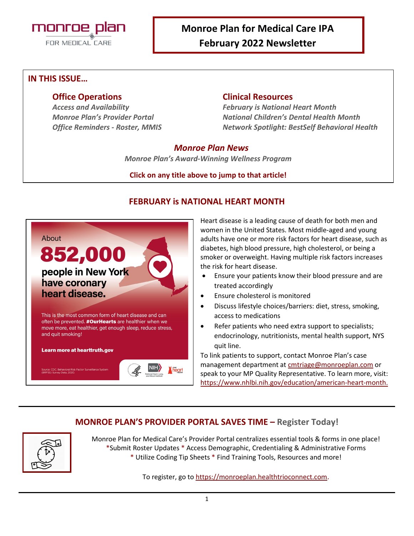

# **Monroe Plan for Medical Care IPA February 2022 Newsletter**

#### **IN THIS ISSUE…**

#### **Office Operations Clinical Resources**

*Access and Availability February is National Heart Month Monroe Plan's Provider Portal National Children's Dental Health Month Office Reminders - Roster, MMIS Network Spotlight: BestSelf Behavioral Health*

#### *Monroe Plan News*

*Monroe Plan's Award-Winning Wellness Program*

#### **Click on any title above to jump to that article!**



## **FEBRUARY is NATIONAL HEART MONTH**

Heart disease is a leading cause of death for both men and women in the United States. Most middle-aged and young adults have one or more risk factors for heart disease, such as diabetes, high blood pressure, high cholesterol, or being a smoker or overweight. Having multiple risk factors increases the risk for heart disease.

- Ensure your patients know their blood pressure and are treated accordingly
- Ensure cholesterol is monitored
- Discuss lifestyle choices/barriers: diet, stress, smoking, access to medications
- Refer patients who need extra support to specialists; endocrinology, nutritionists, mental health support, NYS quit line.

To link patients to support, contact Monroe Plan's case management department at [cmtriage@monroeplan.com](mailto:cmtriage@monroeplan.com) or speak to your MP Quality Representative. To learn more, visit: [https://www.nhlbi.nih.gov/education/american-heart-month.](https://www.nhlbi.nih.gov/education/american-heart-month)

## **MONROE PLAN'S PROVIDER PORTAL SAVES TIME – Register Today!**



Monroe Plan for Medical Care's Provider Portal centralizes essential tools & forms in one place! \*Submit Roster Updates \* Access Demographic, Credentialing & Administrative Forms \* Utilize Coding Tip Sheets \* Find Training Tools, Resources and more!

To register, go t[o https://monroeplan.healthtrioconnect.com.](https://monroeplan.healthtrioconnect.com/)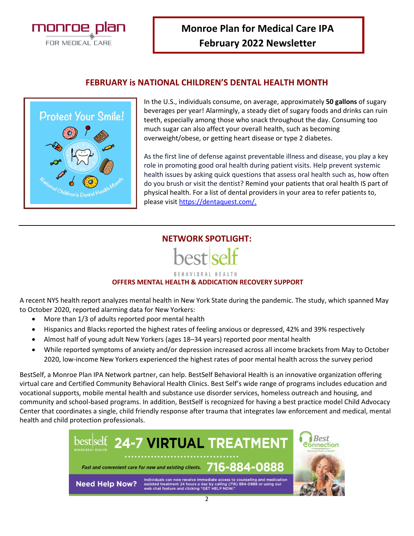

#### **FEBRUARY is NATIONAL CHILDREN'S DENTAL HEALTH MONTH**



In the U.S., individuals consume, on average, approximately **50 gallons** of sugary beverages per year! Alarmingly, a steady diet of sugary foods and drinks can ruin teeth, especially among those who snack throughout the day. Consuming too much sugar can also affect your overall health, such as becoming overweight/obese, or getting heart disease or type 2 diabetes.

As the first line of defense against preventable illness and disease, you play a key role in promoting good oral health during patient visits. Help prevent systemic health issues by asking quick questions that assess oral health such as, how often do you brush or visit the dentist? Remind your patients that oral health IS part of physical health. For a list of dental providers in your area to refer patients to, please visit [https://dentaquest.com/.](https://dentaquest.com/)

## **NETWORK SPOTLIGHT:**



#### **BEHAVIORAL HEALTH**

#### **OFFERS MENTAL HEALTH & ADDICATION RECOVERY SUPPORT**

A recent NYS health report analyzes mental health in New York State during the pandemic. The study, which spanned May to October 2020, reported alarming data for New Yorkers:

- More than 1/3 of adults reported poor mental health
- Hispanics and Blacks reported the highest rates of feeling anxious or depressed, 42% and 39% respectively
- Almost half of young adult New Yorkers (ages 18–34 years) reported poor mental health
- While reported symptoms of anxiety and/or depression increased across all income brackets from May to October 2020, low-income New Yorkers experienced the highest rates of poor mental health across the survey period

BestSelf, a Monroe Plan IPA Network partner, can help. BestSelf Behavioral Health is an innovative organization offering virtual care and Certified Community Behavioral Health Clinics. Best Self's wide range of programs includes education and vocational supports, mobile mental health and substance use disorder services, homeless outreach and housing, and community and school-based programs. In addition, BestSelf is recognized for having a best practice model Child Advocacy Center that coordinates a single, child friendly response after trauma that integrates law enforcement and medical, mental health and child protection professionals.

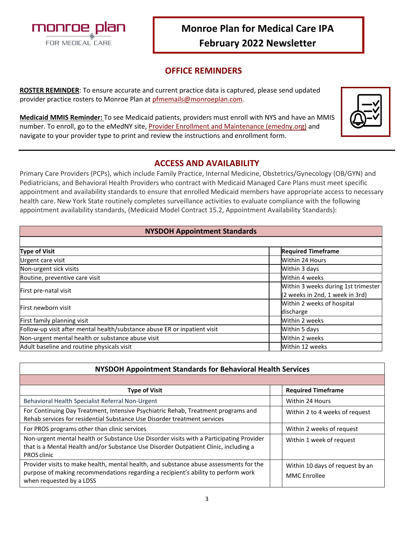

# **Monroe Plan for Medical Care IPA February 2022 Newsletter**

## **OFFICE REMINDERS**

**ROSTER REMINDER**: To ensure accurate and current practice data is captured, please send updated provider practice rosters to Monroe Plan at [pfmemails@monroeplan.com.](mailto:pfmemails@monroeplan.com)

**Medicaid MMIS Reminder:** To see Medicaid patients, providers must enroll with NYS and have an MMIS number. To enroll, go to the eMedNY site[, Provider Enrollment and Maintenance \(emedny.org\)](https://www.emedny.org/info/ProviderEnrollment/index.aspx) and navigate to your provider type to print and review the instructions and enrollment form.

|--|

## **ACCESS AND AVAILABILITY**

Primary Care Providers (PCPs), which include Family Practice, Internal Medicine, Obstetrics/Gynecology (OB/GYN) and Pediatricians, and Behavioral Health Providers who contract with Medicaid Managed Care Plans must meet specific appointment and availability standards to ensure that enrolled Medicaid members have appropriate access to necessary health care. New York State routinely completes surveillance activities to evaluate compliance with the following appointment availability standards, (Medicaid Model Contract 15.2, Appointment Availability Standards):

| <b>NYSDOH Appointment Standards</b>                                       |                                     |  |
|---------------------------------------------------------------------------|-------------------------------------|--|
|                                                                           |                                     |  |
| <b>Type of Visit</b>                                                      | <b>Required Timeframe</b>           |  |
| Urgent care visit                                                         | Within 24 Hours                     |  |
| Non-urgent sick visits                                                    | Within 3 days                       |  |
| Routine, preventive care visit                                            | Within 4 weeks                      |  |
| First pre-natal visit                                                     | Within 3 weeks during 1st trimester |  |
|                                                                           | (2 weeks in 2nd, 1 week in 3rd)     |  |
| First newborn visit                                                       | Within 2 weeks of hospital          |  |
|                                                                           | discharge                           |  |
| First family planning visit                                               | Within 2 weeks                      |  |
| Follow-up visit after mental health/substance abuse ER or inpatient visit | Within 5 days                       |  |
| Non-urgent mental health or substance abuse visit                         | Within 2 weeks                      |  |
| Adult baseline and routine physicals visit                                | Within 12 weeks                     |  |

| NYSDOH Appointment Standards for Behavioral Health Services                                                                                                                                             |                                                        |  |
|---------------------------------------------------------------------------------------------------------------------------------------------------------------------------------------------------------|--------------------------------------------------------|--|
|                                                                                                                                                                                                         |                                                        |  |
| <b>Type of Visit</b>                                                                                                                                                                                    | <b>Required Timeframe</b>                              |  |
| Behavioral Health Specialist Referral Non-Urgent                                                                                                                                                        | Within 24 Hours                                        |  |
| For Continuing Day Treatment, Intensive Psychiatric Rehab, Treatment programs and<br>Rehab services for residential Substance Use Disorder treatment services                                           | Within 2 to 4 weeks of request                         |  |
| For PROS programs other than clinic services                                                                                                                                                            | Within 2 weeks of request                              |  |
| Non-urgent mental health or Substance Use Disorder visits with a Participating Provider<br>that is a Mental Health and/or Substance Use Disorder Outpatient Clinic, including a<br>PROS clinic          | Within 1 week of request                               |  |
| Provider visits to make health, mental health, and substance abuse assessments for the<br>purpose of making recommendations regarding a recipient's ability to perform work<br>when requested by a LDSS | Within 10 days of request by an<br><b>MMC</b> Enrollee |  |